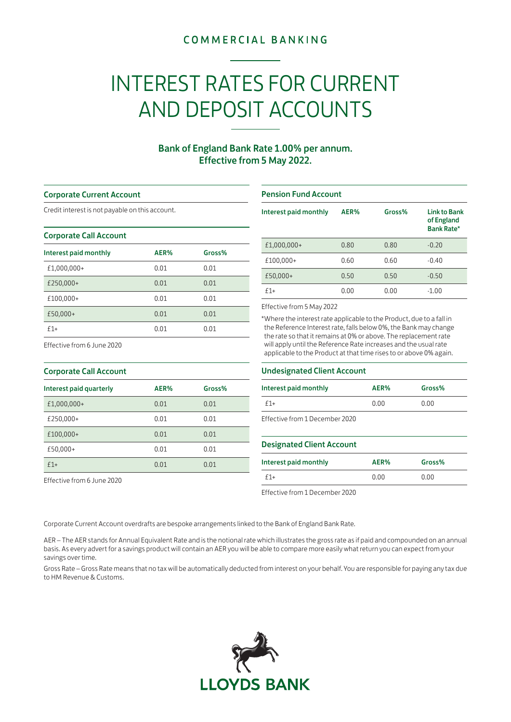## **COMMERCIAL BANKING**

# INTEREST RATES FOR CURRENT AND DEPOSIT ACCOUNTS

### Bank of England Bank Rate 1.00% per annum. Effective from 5 May 2022.

#### Corporate Current Account

Credit interest is not payable on this account.

#### Corporate Call Account

| Interest paid monthly | AER% | Gross% |
|-----------------------|------|--------|
| £1,000,000+           | 0.01 | 0.01   |
| £250,000+             | 0.01 | 0.01   |
| £100,000+             | 0.01 | 0.01   |
| £50,000+              | 0.01 | 0.01   |
| $f1+$                 | 0.01 | 0.01   |

#### Pension Fund Account

| Interest paid monthly | AER% | Gross% | <b>Link to Bank</b><br>of England<br><b>Bank Rate*</b> |
|-----------------------|------|--------|--------------------------------------------------------|
| £1,000,000+           | 0.80 | 0.80   | $-0.20$                                                |
| £100,000+             | 0.60 | 0.60   | $-0.40$                                                |
| £50,000+              | 0.50 | 0.50   | $-0.50$                                                |
| $f1+$                 | 0.00 | 0.00   | $-1.00$                                                |

#### Effective from 5 May 2022

\*Where the interest rate applicable to the Product, due to a fall in the Reference Interest rate, falls below 0%, the Bank may change the rate so that it remains at 0% or above. The replacement rate will apply until the Reference Rate increases and the usual rate applicable to the Product at that time rises to or above 0% again.

## Effective from 6 June 2020

| <b>Corporate Call Account</b> |      |        |  |
|-------------------------------|------|--------|--|
| Interest paid quarterly       | AER% | Gross% |  |
| £1,000,000+                   | 0.01 | 0.01   |  |
| £250,000+                     | 0.01 | 0.01   |  |
| £100,000+                     | 0.01 | 0.01   |  |
| £50,000+                      | 0.01 | 0.01   |  |
| $f1+$                         | 0.01 | 0.01   |  |

Effective from 6 June 2020

#### Undesignated Client Account

| Interest paid monthly          | AER% | Gross% |
|--------------------------------|------|--------|
| $f1+$                          | 0.00 | 0.00   |
| Effective from 1 December 2020 |      |        |

#### Designated Client Account

| Interest paid monthly | AER% | Gross% |
|-----------------------|------|--------|
| $f1+$                 | 0.00 | 0.00   |

Effective from 1 December 2020

Corporate Current Account overdrafts are bespoke arrangements linked to the Bank of England Bank Rate.

AER – The AER stands for Annual Equivalent Rate and is the notional rate which illustrates the gross rate as if paid and compounded on an annual basis. As every advert for a savings product will contain an AER you will be able to compare more easily what return you can expect from your savings over time.

Gross Rate – Gross Rate means that no tax will be automatically deducted from interest on your behalf. You are responsible for paying any tax due to HM Revenue & Customs.